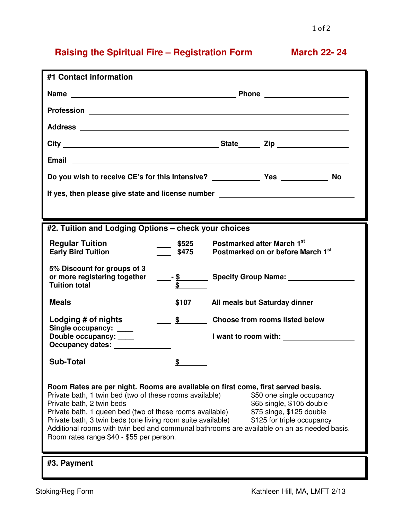## **Raising the Spiritual Fire – Registration Form March 22- 24**

| #1 Contact information                                                                                                                                                                                                                                                                                                                                                                                                                                                                                                                                            |                           |                                                                                                                                                                                                                                      |  |
|-------------------------------------------------------------------------------------------------------------------------------------------------------------------------------------------------------------------------------------------------------------------------------------------------------------------------------------------------------------------------------------------------------------------------------------------------------------------------------------------------------------------------------------------------------------------|---------------------------|--------------------------------------------------------------------------------------------------------------------------------------------------------------------------------------------------------------------------------------|--|
|                                                                                                                                                                                                                                                                                                                                                                                                                                                                                                                                                                   |                           |                                                                                                                                                                                                                                      |  |
|                                                                                                                                                                                                                                                                                                                                                                                                                                                                                                                                                                   |                           | Profession <u>example and the contract of the contract of the contract of the contract of the contract of the contract of the contract of the contract of the contract of the contract of the contract of the contract of the co</u> |  |
|                                                                                                                                                                                                                                                                                                                                                                                                                                                                                                                                                                   |                           |                                                                                                                                                                                                                                      |  |
|                                                                                                                                                                                                                                                                                                                                                                                                                                                                                                                                                                   |                           |                                                                                                                                                                                                                                      |  |
|                                                                                                                                                                                                                                                                                                                                                                                                                                                                                                                                                                   |                           |                                                                                                                                                                                                                                      |  |
| <b>No</b>                                                                                                                                                                                                                                                                                                                                                                                                                                                                                                                                                         |                           |                                                                                                                                                                                                                                      |  |
| If yes, then please give state and license number ______________________________                                                                                                                                                                                                                                                                                                                                                                                                                                                                                  |                           |                                                                                                                                                                                                                                      |  |
|                                                                                                                                                                                                                                                                                                                                                                                                                                                                                                                                                                   |                           |                                                                                                                                                                                                                                      |  |
| #2. Tuition and Lodging Options - check your choices                                                                                                                                                                                                                                                                                                                                                                                                                                                                                                              |                           |                                                                                                                                                                                                                                      |  |
| <b>Regular Tuition</b><br><b>Early Bird Tuition</b>                                                                                                                                                                                                                                                                                                                                                                                                                                                                                                               | $\frac{\$525}{}$<br>\$475 | Postmarked after March 1st<br>Postmarked on or before March 1st                                                                                                                                                                      |  |
| 5% Discount for groups of 3<br>or more registering together<br><b>Tuition total</b>                                                                                                                                                                                                                                                                                                                                                                                                                                                                               | $\overline{\$}$           |                                                                                                                                                                                                                                      |  |
| <b>Meals</b>                                                                                                                                                                                                                                                                                                                                                                                                                                                                                                                                                      | \$107                     | All meals but Saturday dinner                                                                                                                                                                                                        |  |
| Lodging # of nights                                                                                                                                                                                                                                                                                                                                                                                                                                                                                                                                               | $\frac{\$}{\ }$           | <b>Choose from rooms listed below</b>                                                                                                                                                                                                |  |
| Single occupancy: ____<br>Double occupancy: ____                                                                                                                                                                                                                                                                                                                                                                                                                                                                                                                  |                           | I want to room with: <u>New York and State and State and State and State and State and State and State and State and State and State and State and State and State and State and State and State and State and State and State a</u> |  |
| <b>Sub-Total</b>                                                                                                                                                                                                                                                                                                                                                                                                                                                                                                                                                  | ¢                         |                                                                                                                                                                                                                                      |  |
| Room Rates are per night. Rooms are available on first come, first served basis.<br>Private bath, 1 twin bed (two of these rooms available)<br>\$50 one single occupancy<br>Private bath, 2 twin beds<br>\$65 single, \$105 double<br>Private bath, 1 queen bed (two of these rooms available)<br>\$75 singe, \$125 double<br>Private bath, 3 twin beds (one living room suite available)<br>\$125 for triple occupancy<br>Additional rooms with twin bed and communal bathrooms are available on an as needed basis.<br>Room rates range \$40 - \$55 per person. |                           |                                                                                                                                                                                                                                      |  |
| #3. Payment                                                                                                                                                                                                                                                                                                                                                                                                                                                                                                                                                       |                           |                                                                                                                                                                                                                                      |  |